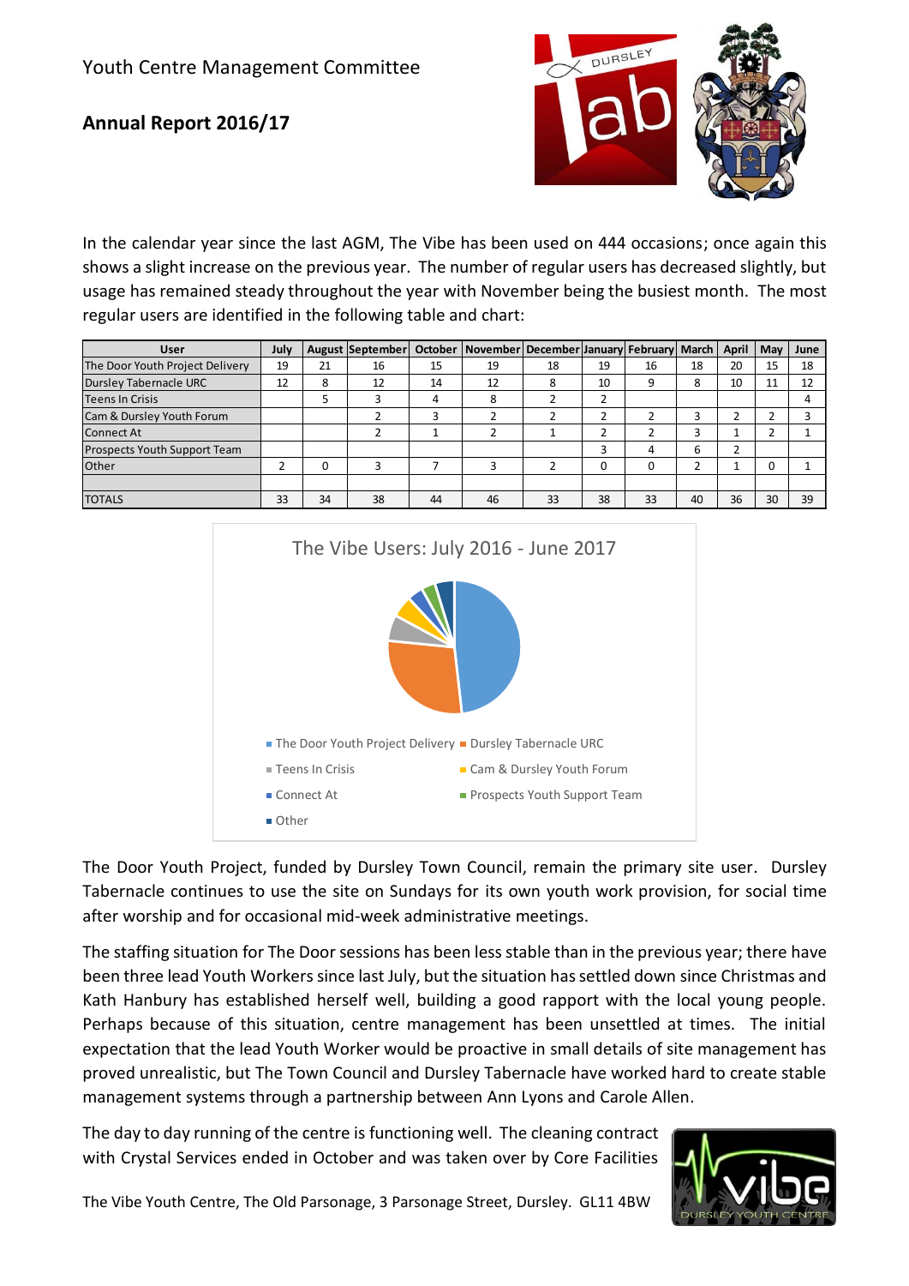## **Annual Report 2016/17**



In the calendar year since the last AGM, The Vibe has been used on 444 occasions; once again this shows a slight increase on the previous year. The number of regular users has decreased slightly, but usage has remained steady throughout the year with November being the busiest month. The most regular users are identified in the following table and chart:

| <b>User</b>                     | July |    | August September |    | October November December January February March |    |    |    |    | <b>April</b> | May | June |
|---------------------------------|------|----|------------------|----|--------------------------------------------------|----|----|----|----|--------------|-----|------|
| The Door Youth Project Delivery | 19   | 21 | 16               | 15 | 19                                               | 18 | 19 | 16 | 18 | 20           | 15  | 18   |
| <b>Dursley Tabernacle URC</b>   | 12   | 8  | 12               | 14 | 12                                               | 8  | 10 |    | 8  | 10           | 11  | 12   |
| <b>Teens In Crisis</b>          |      |    |                  | 4  | 8                                                |    |    |    |    |              |     | 4    |
| Cam & Dursley Youth Forum       |      |    |                  | 3  |                                                  |    |    |    | 3  |              |     |      |
| <b>Connect At</b>               |      |    |                  |    |                                                  |    |    |    | 3  |              |     |      |
| Prospects Youth Support Team    |      |    |                  |    |                                                  |    |    |    | 6  | ∍            |     |      |
| Other                           | ∽    | 0  | э                |    |                                                  |    | 0  |    |    |              | 0   |      |
|                                 |      |    |                  |    |                                                  |    |    |    |    |              |     |      |
| <b>TOTALS</b>                   | 33   | 34 | 38               | 44 | 46                                               | 33 | 38 | 33 | 40 | 36           | 30  | 39   |



The Door Youth Project, funded by Dursley Town Council, remain the primary site user. Dursley Tabernacle continues to use the site on Sundays for its own youth work provision, for social time after worship and for occasional mid-week administrative meetings.

The staffing situation for The Door sessions has been less stable than in the previous year; there have been three lead Youth Workers since last July, but the situation has settled down since Christmas and Kath Hanbury has established herself well, building a good rapport with the local young people. Perhaps because of this situation, centre management has been unsettled at times. The initial expectation that the lead Youth Worker would be proactive in small details of site management has proved unrealistic, but The Town Council and Dursley Tabernacle have worked hard to create stable management systems through a partnership between Ann Lyons and Carole Allen.

The day to day running of the centre is functioning well. The cleaning contract with Crystal Services ended in October and was taken over by Core Facilities



The Vibe Youth Centre, The Old Parsonage, 3 Parsonage Street, Dursley. GL11 4BW